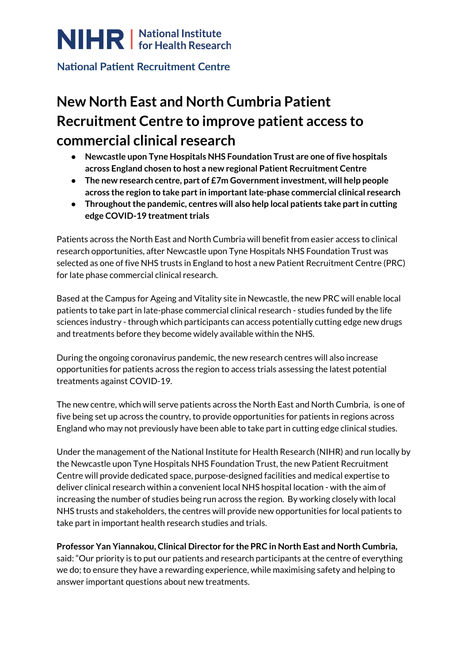

### **National Patient Recruitment Centre**

# **New North East and North Cumbria Patient Recruitment Centre to improve patient access to commercial clinical research**

- **● Newcastle upon Tyne Hospitals NHS Foundation Trust are one of five hospitals across England chosen to host a new regional Patient Recruitment Centre**
- **● The new research centre, part of £7m Governmentinvestment, will help people across the region to take partin importantlate-phase commercial clinical research**
- **● Throughoutthe pandemic, centres will also help local patients take partin cutting edge COVID-19** treatment trials

Patients across the North East and North Cumbria will benefit from easier access to clinical research opportunities, after Newcastle upon Tyne Hospitals NHS Foundation Trust was selected as one of five NHS trusts in England to host a new Patient Recruitment Centre (PRC) for late phase commercial clinical research.

Based at the Campus for Ageing and Vitality site in Newcastle, the new PRC will enable local patients to take part in late-phase commercial clinical research - studies funded by the life sciences industry - through which participants can access potentially cutting edge new drugs and treatments before they become widely available within the NHS.

During the ongoing coronavirus pandemic, the new research centres will also increase opportunities for patients across the region to access trials assessing the latest potential treatments against COVID-19.

The new centre, which will serve patients across the North East and North Cumbria, is one of five being set up across the country, to provide opportunities for patients in regions across England who may not previously have been able to take part in cutting edge clinical studies.

Under the management of the National Institute for Health Research (NIHR) and run locally by the Newcastle upon Tyne Hospitals NHS Foundation Trust, the new Patient Recruitment Centre will provide dedicated space, purpose-designed facilities and medical expertise to deliver clinical research within a convenient local NHS hospital location - with the aim of increasing the number of studies being run across the region. By working closely with local NHS trusts and stakeholders, the centres will provide new opportunities for local patients to take part in important health research studies and trials.

**Professor Yan Yiannakou, Clinical Director for the PRC in North East and North Cumbria,** said: "Our priority is to put our patients and research participants at the centre of everything

we do; to ensure they have a rewarding experience, while maximising safety and helping to answer important questions about new treatments.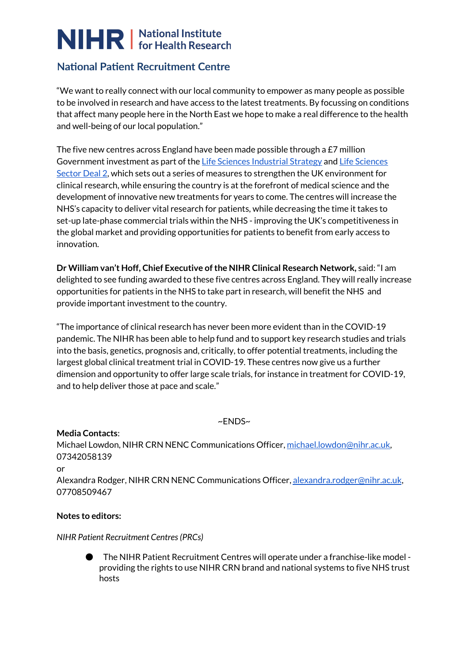# NIHR | National Institute

# **National Patient Recruitment Centre**

"We want to really connect with our local community to empower as many people as possible to be involved in research and have access to the latest treatments. By focussing on conditions that affect many people here in the North East we hope to make a real difference to the health and well-being of our local population."

The five new centres across England have been made possible through a  $E7$  million Government investment as part of the Life Sciences [Industrial](https://www.gov.uk/government/publications/life-sciences-industrial-strategy) Strategy an[d](https://www.gov.uk/government/publications/life-sciences-sector-deal/life-sciences-sector-deal-2-2018) Life [Sciences](https://www.gov.uk/government/publications/life-sciences-sector-deal/life-sciences-sector-deal-2-2018) [Sector](https://www.gov.uk/government/publications/life-sciences-sector-deal/life-sciences-sector-deal-2-2018) Deal 2, which sets out a series of measures to strengthen the UK environment for clinical research, while ensuring the country is at the forefront of medical science and the development of innovative new treatments for years to come. The centres will increase the NHS's capacity to deliver vital research for patients, while decreasing the time it takes to set-up late-phase commercial trials within the NHS - improving the UK's competitiveness in the global market and providing opportunities for patients to benefit from early access to innovation.

**Dr William van't Hoff, Chief Executive ofthe NIHR Clinical Research Network,** said: "I am delighted to see funding awarded to these five centres across England. They will really increase opportunities for patients in the NHS to take part in research, will benefit the NHS and provide important investment to the country.

"The importance of clinical research has never been more evident than in the COVID-19 pandemic. The NIHR has been able to help fund and to support key research studies and trials into the basis, genetics, prognosis and, critically, to offer potential treatments, including the largest global clinical treatment trial in COVID-19. These centres now give us a further dimension and opportunity to offer large scale trials, for instance in treatment for COVID-19, and to help deliver those at pace and scale."

~ENDS~

**Media Contacts**: Michael Lowdon, NIHR CRN NENC Communications Officer, [michael.lowdon@nihr.ac.uk,](mailto:michael.lowdon@nihr.ac.uk) 07342058139 or Alexandra Rodger, NIHR CRN NENC Communications Officer, [alexandra.rodger@nihr.ac.uk](mailto:alexandra.rodger@nihr.ac.uk), 07708509467

### **Notes to editors:**

### *NIHR Patient Recruitment Centres(PRCs)*

● The NIHR Patient Recruitment Centres will operate under a franchise-like model providing the rights to use NIHR CRN brand and national systems to five NHS trust hosts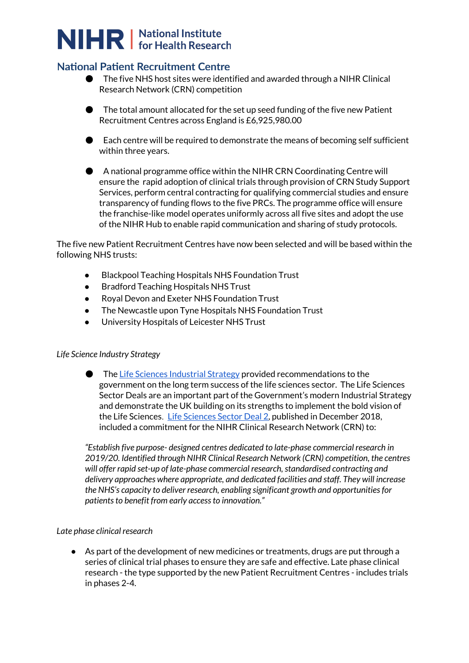# NIHR | National Institute

### **National Patient Recruitment Centre**

- **The five NHS host sites were identified and awarded through a NIHR Clinical** Research Network (CRN) competition
- $\bullet$  The total amount allocated for the set up seed funding of the five new Patient Recruitment Centres across England is £6,925,980.00
- $\bullet$  Each centre will be required to demonstrate the means of becoming self sufficient within three years.
- A national programme office within the NIHR CRN Coordinating Centre will ensure the rapid adoption of clinical trials through provision of CRN Study Support Services, perform central contracting for qualifying commercial studies and ensure transparency of funding flows to the five PRCs. The programme office will ensure the franchise-like model operates uniformly across all five sites and adopt the use of the NIHR Hub to enable rapid communication and sharing of study protocols.

The five new Patient Recruitment Centres have now been selected and will be based within the following NHS trusts:

- **Blackpool Teaching Hospitals NHS Foundation Trust**
- Bradford Teaching Hospitals NHS Trust
- Royal Devon and Exeter NHS Foundation Trust
- The Newcastle upon Tyne Hospitals NHS Foundation Trust
- University Hospitals of Leicester NHS Trust

### *Life Science Industry Strategy*

● Th[e](https://www.gov.uk/government/publications/life-sciences-industrial-strategy) Life Sciences [Industrial](https://www.gov.uk/government/publications/life-sciences-industrial-strategy) Strategy provided recommendations to the government on the long term success of the life sciences sector. The Life Sciences Sector Deals are an important part of the Government's modern Industrial Strategy and demonstrate the UK building on its strengths to implement the bold vision of the Life Sciences. Life [Sciences](https://www.gov.uk/government/publications/life-sciences-sector-deal/life-sciences-sector-deal-2-2018) Sector Deal 2, published in December 2018, included a commitment for the NIHR Clinical Research Network (CRN) to:

*"Establish five purpose- designed centres dedicated to late-phase commercial research in 2019/20. Identified through NIHR Clinical Research Network (CRN) competition, the centres will offer rapid set-up of late-phase commercial research,standardised contracting and delivery approaches where appropriate, and dedicated facilities and staff. They will increase the NHS's capacity to deliver research, enabling significant growth and opportunitiesfor patients to benefit from early access to innovation."* 

#### *Late phase clinical research*

● As part of the development of new medicines or treatments, drugs are put through a series of clinical trial phases to ensure they are safe and effective. Late phase clinical research - the type supported by the new Patient Recruitment Centres - includes trials in phases 2-4.